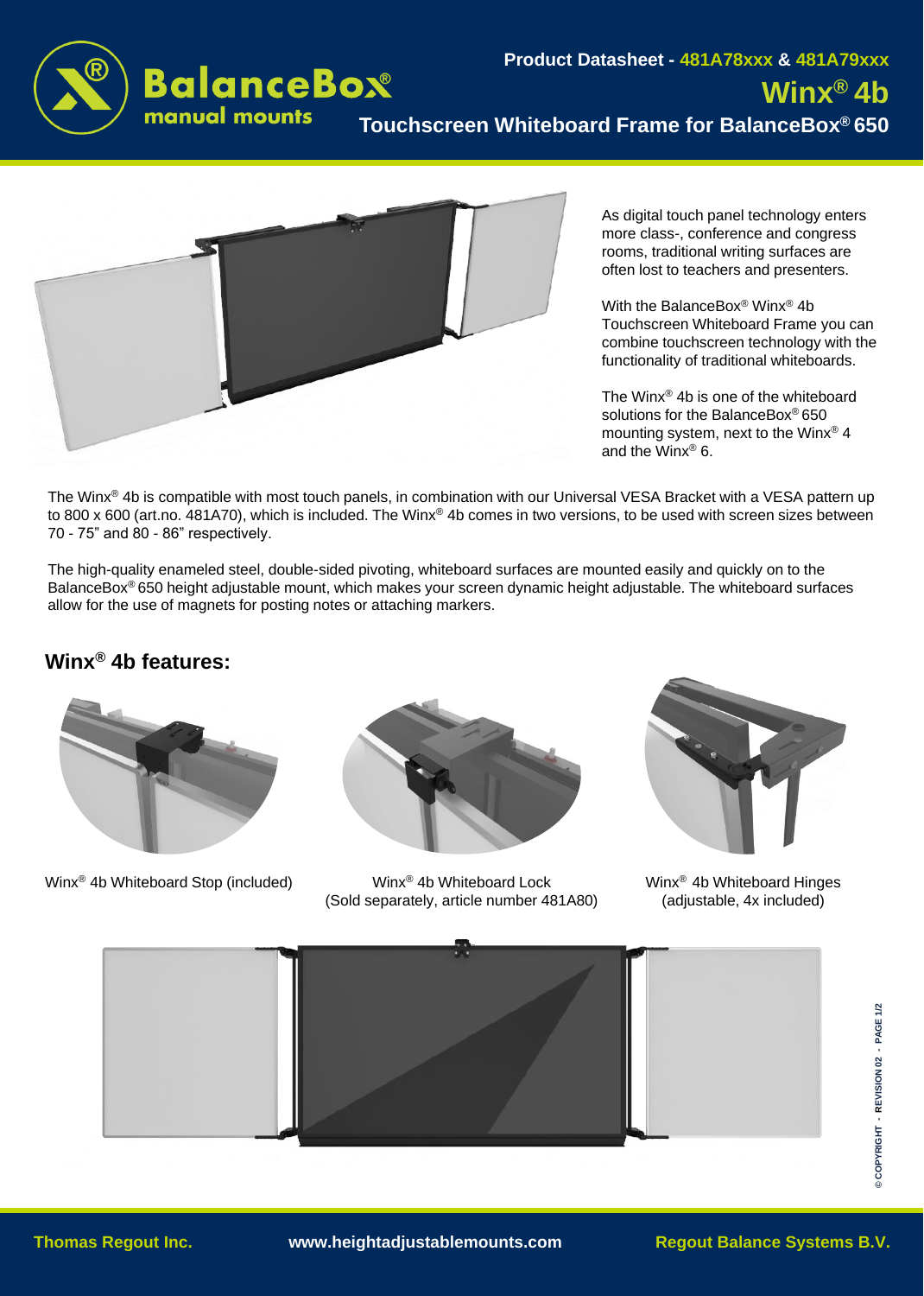



As digital touch panel technology enters more class-, conference and congress rooms, traditional writing surfaces are often lost to teachers and presenters.

With the BalanceBox® Winx® 4b Touchscreen Whiteboard Frame you can combine touchscreen technology with the functionality of traditional whiteboards.

The Winx® 4b is one of the whiteboard solutions for the BalanceBox® 650 mounting system, next to the Winx® 4 and the Winx® 6.

The Winx® 4b is compatible with most touch panels, in combination with our Universal VESA Bracket with a VESA pattern up to 800 x 600 (art.no. 481A70), which is included. The Winx® 4b comes in two versions, to be used with screen sizes between 70 - 75" and 80 - 86" respectively.

The high-quality enameled steel, double-sided pivoting, whiteboard surfaces are mounted easily and quickly on to the BalanceBox® 650 height adjustable mount, which makes your screen dynamic height adjustable. The whiteboard surfaces allow for the use of magnets for posting notes or attaching markers.

## **Winx® 4b features:**



Winx<sup>®</sup> 4b Whiteboard Stop (included) Winx<sup>®</sup> 4b Whiteboard Lock



(Sold separately, article number 481A80)



Winx® 4b Whiteboard Hinges (adjustable, 4x included)